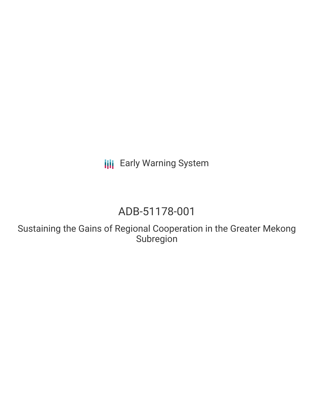**III** Early Warning System

# ADB-51178-001

Sustaining the Gains of Regional Cooperation in the Greater Mekong Subregion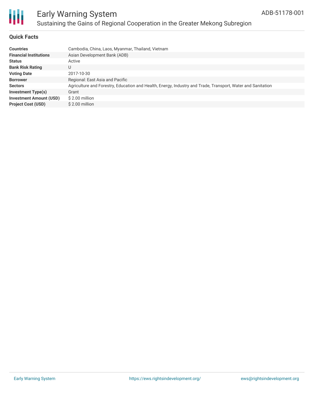

### Early Warning System Sustaining the Gains of Regional Cooperation in the Greater Mekong Subregion

### **Quick Facts**

| <b>Countries</b>               | Cambodia, China, Laos, Myanmar, Thailand, Vietnam                                                           |
|--------------------------------|-------------------------------------------------------------------------------------------------------------|
| <b>Financial Institutions</b>  | Asian Development Bank (ADB)                                                                                |
| <b>Status</b>                  | Active                                                                                                      |
| <b>Bank Risk Rating</b>        | U                                                                                                           |
| <b>Voting Date</b>             | 2017-10-30                                                                                                  |
| <b>Borrower</b>                | Regional: East Asia and Pacific                                                                             |
| <b>Sectors</b>                 | Agriculture and Forestry, Education and Health, Energy, Industry and Trade, Transport, Water and Sanitation |
| <b>Investment Type(s)</b>      | Grant                                                                                                       |
| <b>Investment Amount (USD)</b> | \$2.00 million                                                                                              |
| <b>Project Cost (USD)</b>      | \$2.00 million                                                                                              |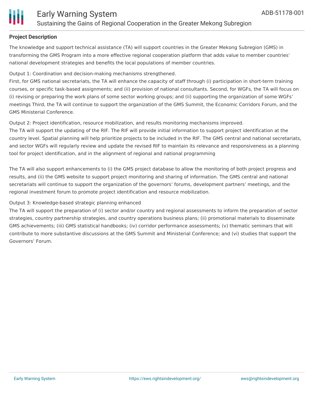

### **Project Description**

The knowledge and support technical assistance (TA) will support countries in the Greater Mekong Subregion (GMS) in transforming the GMS Program into a more effective regional cooperation platform that adds value to member countries' national development strategies and benefits the local populations of member countries.

### Output 1: Coordination and decision-making mechanisms strengthened.

First, for GMS national secretariats, the TA will enhance the capacity of staff through (i) participation in short-term training courses, or specific task-based assignments; and (ii) provision of national consultants. Second, for WGFs, the TA will focus on (i) revising or preparing the work plans of some sector working groups; and (ii) supporting the organization of some WGFs' meetings Third, the TA will continue to support the organization of the GMS Summit, the Economic Corridors Forum, and the GMS Ministerial Conference.

### Output 2: Project identification, resource mobilization, and results monitoring mechanisms improved.

The TA will support the updating of the RIF. The RIF will provide initial information to support project identification at the country level. Spatial planning will help prioritize projects to be included in the RIF. The GMS central and national secretariats, and sector WGFs will regularly review and update the revised RIF to maintain its relevance and responsiveness as a planning tool for project identification, and in the alignment of regional and national programming

The TA will also support enhancements to (i) the GMS project database to allow the monitoring of both project progress and results, and (ii) the GMS website to support project monitoring and sharing of information. The GMS central and national secretariats will continue to support the organization of the governors' forums, development partners' meetings, and the regional investment forum to promote project identification and resource mobilization.

### Output 3: Knowledge-based strategic planning enhanced

The TA will support the preparation of (i) sector and/or country and regional assessments to inform the preparation of sector strategies, country partnership strategies, and country operations business plans; (ii) promotional materials to disseminate GMS achievements; (iii) GMS statistical handbooks; (iv) corridor performance assessments; (v) thematic seminars that will contribute to more substantive discussions at the GMS Summit and Ministerial Conference; and (vi) studies that support the Governors' Forum.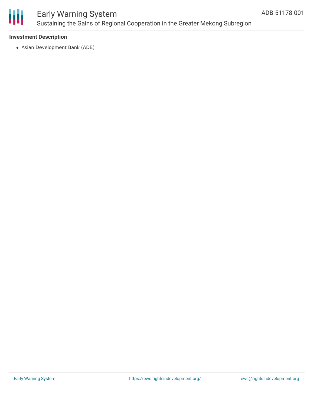

### Early Warning System Sustaining the Gains of Regional Cooperation in the Greater Mekong Subregion

### **Investment Description**

Asian Development Bank (ADB)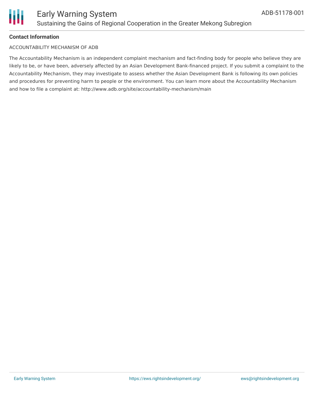

### **Contact Information**

#### ACCOUNTABILITY MECHANISM OF ADB

The Accountability Mechanism is an independent complaint mechanism and fact-finding body for people who believe they are likely to be, or have been, adversely affected by an Asian Development Bank-financed project. If you submit a complaint to the Accountability Mechanism, they may investigate to assess whether the Asian Development Bank is following its own policies and procedures for preventing harm to people or the environment. You can learn more about the Accountability Mechanism and how to file a complaint at: http://www.adb.org/site/accountability-mechanism/main